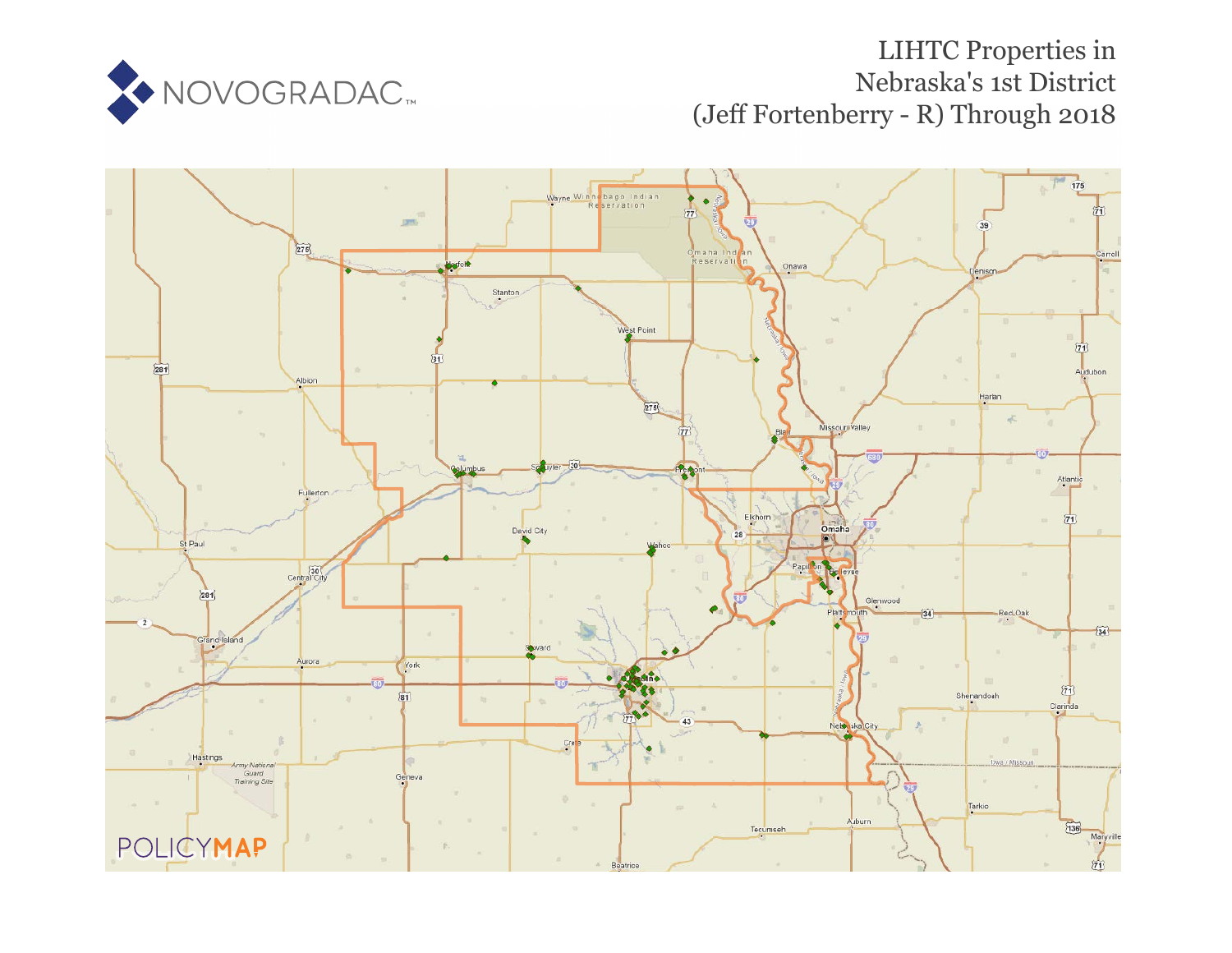

# LIHTC Properties in Nebraska's 1st District (Jeff Fortenberry - R) Through 2018

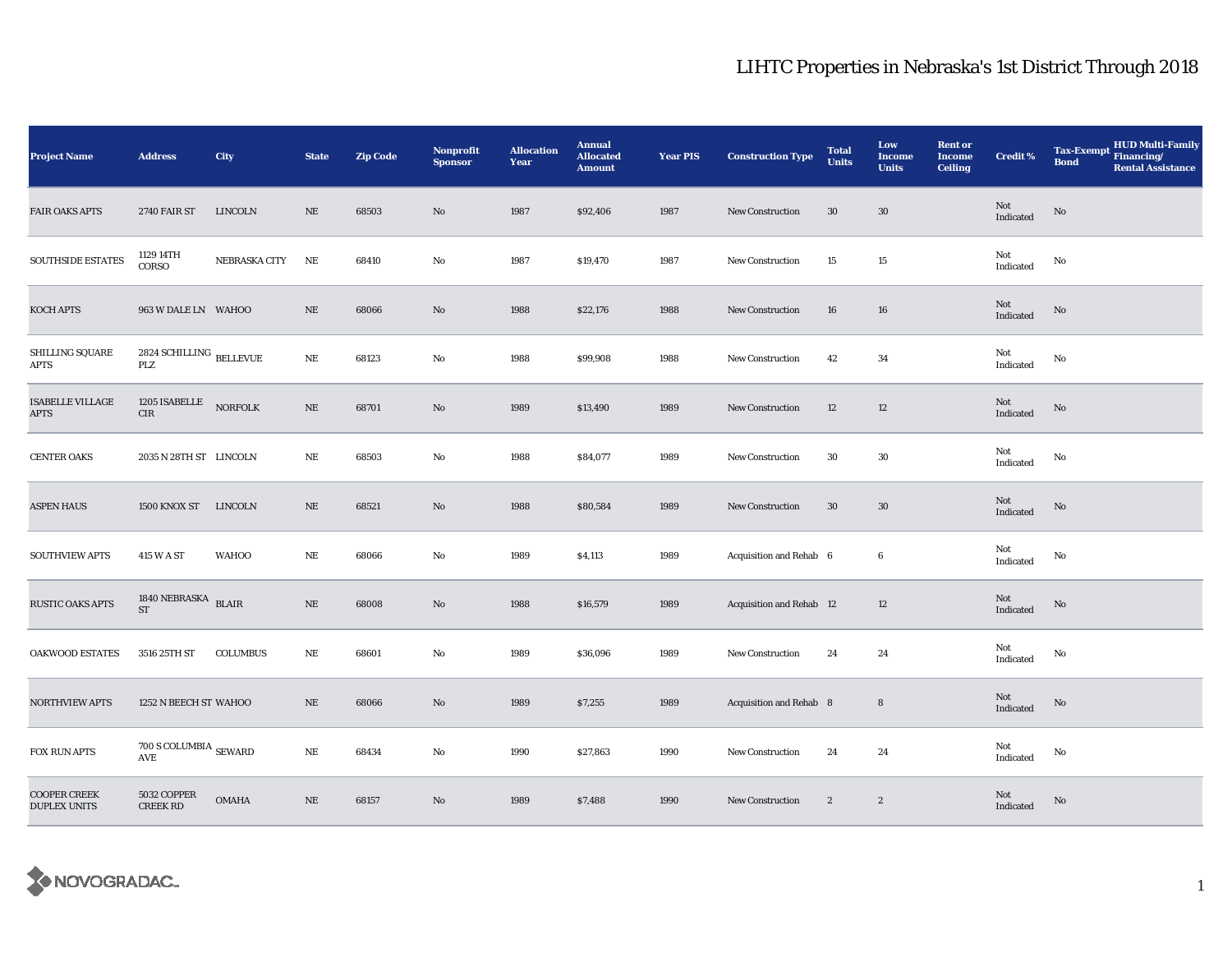| <b>Project Name</b>                        | <b>Address</b>                           | <b>City</b>     | <b>State</b> | <b>Zip Code</b> | Nonprofit<br><b>Sponsor</b> | <b>Allocation</b><br>Year | <b>Annual</b><br><b>Allocated</b><br><b>Amount</b> | <b>Year PIS</b> | <b>Construction Type</b> | <b>Total</b><br><b>Units</b> | Low<br>Income<br><b>Units</b> | <b>Rent or</b><br><b>Income</b><br><b>Ceiling</b> | <b>Credit %</b>                                   | <b>HUD Multi-Family</b><br>Tax-Exempt Financing/<br><b>Bond</b><br><b>Rental Assistance</b> |
|--------------------------------------------|------------------------------------------|-----------------|--------------|-----------------|-----------------------------|---------------------------|----------------------------------------------------|-----------------|--------------------------|------------------------------|-------------------------------|---------------------------------------------------|---------------------------------------------------|---------------------------------------------------------------------------------------------|
| <b>FAIR OAKS APTS</b>                      | <b>2740 FAIR ST</b>                      | LINCOLN         | NE           | 68503           | No                          | 1987                      | \$92,406                                           | 1987            | New Construction         | $30\,$                       | 30                            |                                                   | Not<br>Indicated                                  | No                                                                                          |
| SOUTHSIDE ESTATES                          | 1129 14TH<br>CORSO                       | NEBRASKA CITY   | $\rm NE$     | 68410           | No                          | 1987                      | \$19,470                                           | 1987            | New Construction         | 15                           | $15\,$                        |                                                   | Not<br>Indicated                                  | $\rm No$                                                                                    |
| KOCH APTS                                  | 963 W DALE LN WAHOO                      |                 | $\rm NE$     | 68066           | No                          | 1988                      | \$22,176                                           | 1988            | <b>New Construction</b>  | 16                           | ${\bf 16}$                    |                                                   | Not<br>$\label{thm:indicated} \textbf{Indicated}$ | $\mathbf{N}\mathbf{o}$                                                                      |
| <b>SHILLING SQUARE</b><br>APTS             | 2824 SCHILLING $_{\rm{BELLEVUE}}$<br>PLZ |                 | $\rm NE$     | 68123           | No                          | 1988                      | \$99,908                                           | 1988            | <b>New Construction</b>  | 42                           | 34                            |                                                   | Not<br>Indicated                                  | No                                                                                          |
| <b>ISABELLE VILLAGE</b><br>APTS            | 1205 ISABELLE<br>CIR                     | <b>NORFOLK</b>  | $\rm NE$     | 68701           | No                          | 1989                      | \$13,490                                           | 1989            | <b>New Construction</b>  | 12                           | $12\phantom{.0}$              |                                                   | Not<br>Indicated                                  | $\rm No$                                                                                    |
| <b>CENTER OAKS</b>                         | 2035 N 28TH ST LINCOLN                   |                 | $\rm NE$     | 68503           | No                          | 1988                      | \$84,077                                           | 1989            | <b>New Construction</b>  | 30                           | 30                            |                                                   | Not<br>Indicated                                  | No                                                                                          |
| <b>ASPEN HAUS</b>                          | 1500 KNOX ST                             | LINCOLN         | NE           | 68521           | No                          | 1988                      | \$80,584                                           | 1989            | New Construction         | 30                           | 30                            |                                                   | Not<br>Indicated                                  | No                                                                                          |
| <b>SOUTHVIEW APTS</b>                      | 415 W A ST                               | <b>WAHOO</b>    | NE           | 68066           | No                          | 1989                      | \$4,113                                            | 1989            | Acquisition and Rehab 6  |                              | $\boldsymbol{6}$              |                                                   | Not<br>Indicated                                  | No                                                                                          |
| <b>RUSTIC OAKS APTS</b>                    | 1840 NEBRASKA BLAIR<br>ST                |                 | $\rm NE$     | 68008           | No                          | 1988                      | \$16,579                                           | 1989            | Acquisition and Rehab 12 |                              | 12                            |                                                   | Not<br>Indicated                                  | No                                                                                          |
| OAKWOOD ESTATES                            | 3516 25TH ST                             | <b>COLUMBUS</b> | $\rm NE$     | 68601           | No                          | 1989                      | \$36,096                                           | 1989            | <b>New Construction</b>  | 24                           | 24                            |                                                   | Not<br>Indicated                                  | No                                                                                          |
| <b>NORTHVIEW APTS</b>                      | 1252 N BEECH ST WAHOO                    |                 | $\rm NE$     | 68066           | No                          | 1989                      | \$7,255                                            | 1989            | Acquisition and Rehab 8  |                              | 8                             |                                                   | Not<br>Indicated                                  | No                                                                                          |
| FOX RUN APTS                               | $700$ S COLUMBIA $_{\rm SEWARD}$<br>AVE  |                 | $\rm NE$     | 68434           | No                          | 1990                      | \$27,863                                           | 1990            | <b>New Construction</b>  | 24                           | 24                            |                                                   | Not<br>Indicated                                  | No                                                                                          |
| <b>COOPER CREEK</b><br><b>DUPLEX UNITS</b> | 5032 COPPER<br><b>CREEK RD</b>           | <b>OMAHA</b>    | $\rm NE$     | 68157           | No                          | 1989                      | \$7,488                                            | 1990            | New Construction         | $\boldsymbol{2}$             | $\boldsymbol{2}$              |                                                   | Not<br>Indicated                                  | No                                                                                          |

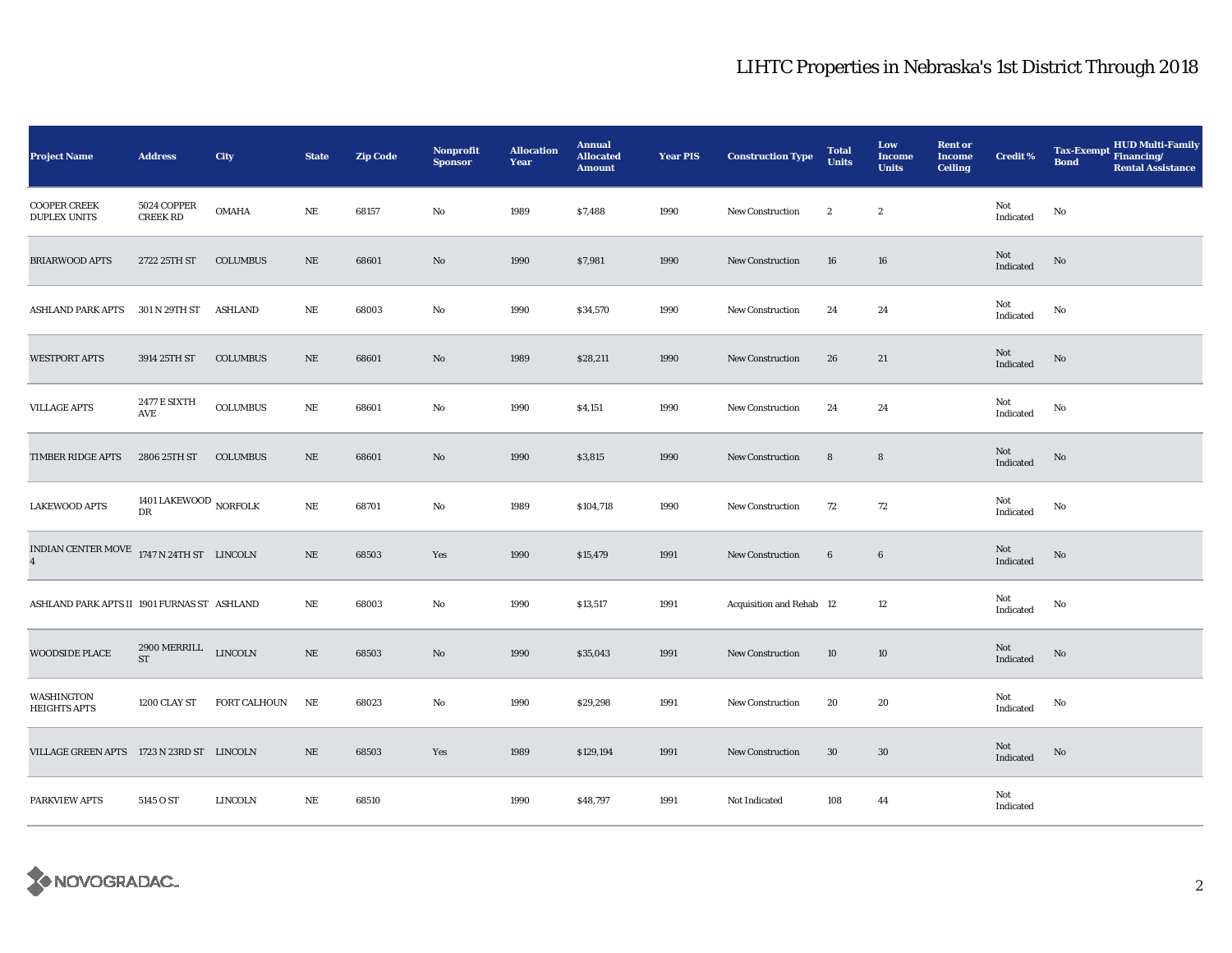| <b>Project Name</b>                                           | <b>Address</b>                                | <b>City</b>     | <b>State</b> | <b>Zip Code</b> | <b>Nonprofit</b><br><b>Sponsor</b> | <b>Allocation</b><br>Year | <b>Annual</b><br><b>Allocated</b><br><b>Amount</b> | <b>Year PIS</b> | <b>Construction Type</b> | <b>Total</b><br><b>Units</b> | Low<br><b>Income</b><br><b>Units</b> | <b>Rent or</b><br><b>Income</b><br><b>Ceiling</b> | <b>Credit %</b>  | <b>HUD Multi-Family</b><br>Tax-Exempt Financing/<br><b>Bond</b><br><b>Rental Assistance</b> |
|---------------------------------------------------------------|-----------------------------------------------|-----------------|--------------|-----------------|------------------------------------|---------------------------|----------------------------------------------------|-----------------|--------------------------|------------------------------|--------------------------------------|---------------------------------------------------|------------------|---------------------------------------------------------------------------------------------|
| <b>COOPER CREEK</b><br><b>DUPLEX UNITS</b>                    | 5024 COPPER<br><b>CREEK RD</b>                | OMAHA           | NE           | 68157           | No                                 | 1989                      | \$7,488                                            | 1990            | New Construction         | $\boldsymbol{2}$             | $\boldsymbol{2}$                     |                                                   | Not<br>Indicated | No                                                                                          |
| <b>BRIARWOOD APTS</b>                                         | 2722 25TH ST                                  | <b>COLUMBUS</b> | $\rm NE$     | 68601           | No                                 | 1990                      | \$7,981                                            | 1990            | New Construction         | 16                           | 16                                   |                                                   | Not<br>Indicated | No                                                                                          |
| <b>ASHLAND PARK APTS</b>                                      | 301 N 29TH ST                                 | <b>ASHLAND</b>  | $\rm NE$     | 68003           | No                                 | 1990                      | \$34,570                                           | 1990            | New Construction         | 24                           | 24                                   |                                                   | Not<br>Indicated | No                                                                                          |
| <b>WESTPORT APTS</b>                                          | 3914 25TH ST                                  | <b>COLUMBUS</b> | $\rm NE$     | 68601           | No                                 | 1989                      | \$28,211                                           | 1990            | New Construction         | 26                           | 21                                   |                                                   | Not<br>Indicated | No                                                                                          |
| <b>VILLAGE APTS</b>                                           | <b>2477 E SIXTH</b><br>AVE                    | COLUMBUS        | $\rm NE$     | 68601           | No                                 | 1990                      | \$4,151                                            | 1990            | <b>New Construction</b>  | 24                           | 24                                   |                                                   | Not<br>Indicated | No                                                                                          |
| TIMBER RIDGE APTS                                             | 2806 25TH ST                                  | <b>COLUMBUS</b> | $\rm NE$     | 68601           | No                                 | 1990                      | \$3,815                                            | 1990            | <b>New Construction</b>  | $\bf 8$                      | 8                                    |                                                   | Not<br>Indicated | No                                                                                          |
| <b>LAKEWOOD APTS</b>                                          | 1401 LAKEWOOD $_{\rm NORFOLK}$ DR             |                 | $\rm{NE}$    | 68701           | No                                 | 1989                      | \$104,718                                          | 1990            | New Construction         | 72                           | 72                                   |                                                   | Not<br>Indicated | No                                                                                          |
| INDIAN CENTER MOVE $1747$ N 24TH ST LINCOLN<br>$\overline{4}$ |                                               |                 | $\rm NE$     | 68503           | Yes                                | 1990                      | \$15,479                                           | 1991            | <b>New Construction</b>  | $\boldsymbol{6}$             | $\boldsymbol{6}$                     |                                                   | Not<br>Indicated | No                                                                                          |
| ASHLAND PARK APTS II 1901 FURNAS ST ASHLAND                   |                                               |                 | NE           | 68003           | No                                 | 1990                      | \$13,517                                           | 1991            | Acquisition and Rehab 12 |                              | 12                                   |                                                   | Not<br>Indicated | No                                                                                          |
| <b>WOODSIDE PLACE</b>                                         | $2900\,\mathrm{MERRILL}$ LINCOLN<br><b>ST</b> |                 | $\rm NE$     | 68503           | $\mathbf{N}\mathbf{o}$             | 1990                      | \$35,043                                           | 1991            | New Construction         | 10                           | 10                                   |                                                   | Not<br>Indicated | $\rm No$                                                                                    |
| WASHINGTON<br><b>HEIGHTS APTS</b>                             | 1200 CLAY ST                                  | FORT CALHOUN    | $\rm NE$     | 68023           | No                                 | 1990                      | \$29,298                                           | 1991            | New Construction         | 20                           | 20                                   |                                                   | Not<br>Indicated | No                                                                                          |
| VILLAGE GREEN APTS 1723 N 23RD ST LINCOLN                     |                                               |                 | $\rm NE$     | 68503           | Yes                                | 1989                      | \$129,194                                          | 1991            | <b>New Construction</b>  | 30                           | $30\,$                               |                                                   | Not<br>Indicated | No                                                                                          |
| PARKVIEW APTS                                                 | 5145 O ST                                     | LINCOLN         | $\rm NE$     | 68510           |                                    | 1990                      | \$48,797                                           | 1991            | Not Indicated            | 108                          | 44                                   |                                                   | Not<br>Indicated |                                                                                             |

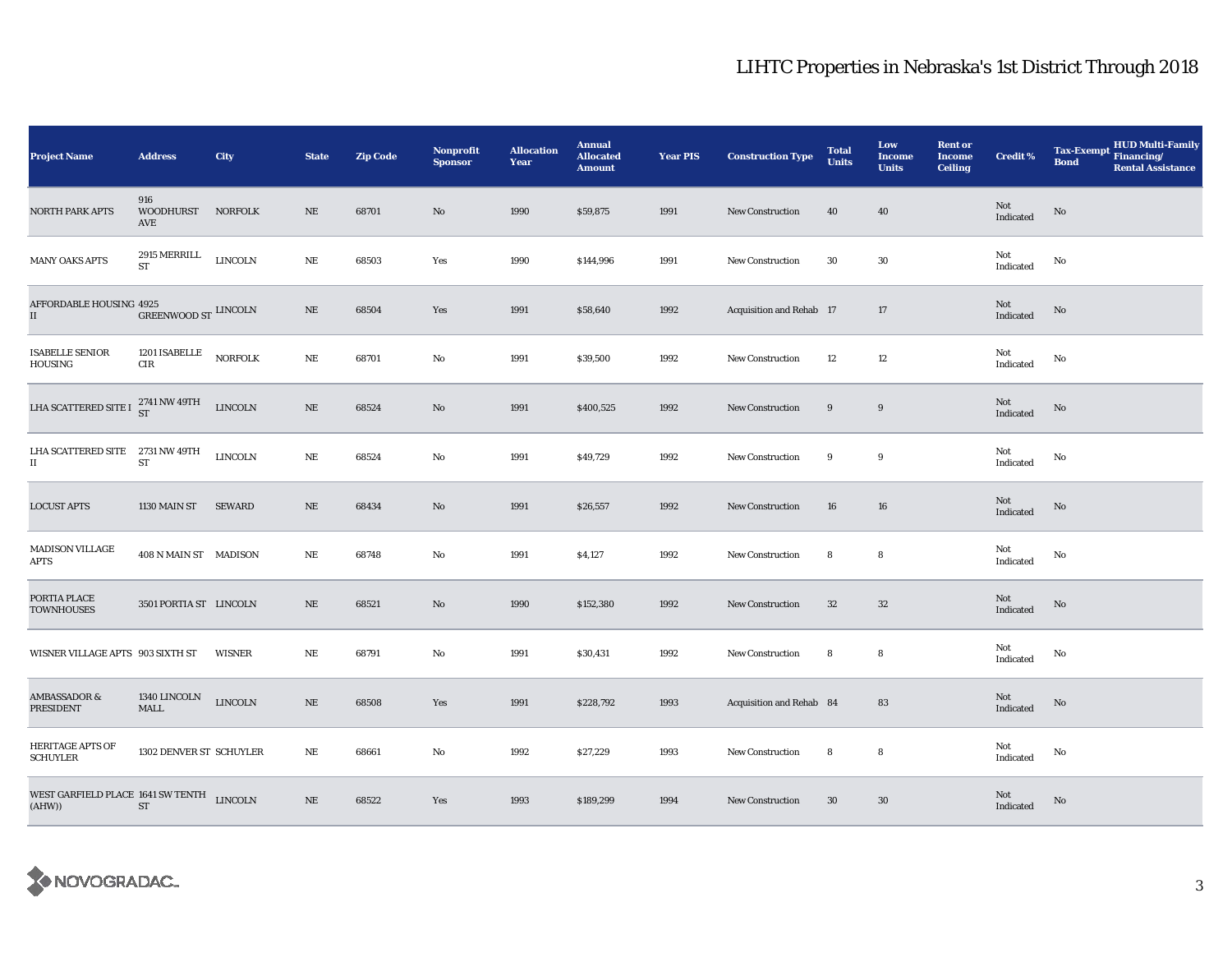| <b>Project Name</b>                                     | <b>Address</b>                         | City           | <b>State</b> | <b>Zip Code</b> | <b>Nonprofit</b><br><b>Sponsor</b> | <b>Allocation</b><br>Year | <b>Annual</b><br><b>Allocated</b><br><b>Amount</b> | <b>Year PIS</b> | <b>Construction Type</b> | <b>Total</b><br><b>Units</b> | Low<br><b>Income</b><br><b>Units</b> | <b>Rent or</b><br><b>Income</b><br><b>Ceiling</b> | <b>Credit %</b>                   | <b>HUD Multi-Family</b><br><b>Tax-Exempt</b><br>Financing/<br><b>Bond</b><br><b>Rental Assistance</b> |
|---------------------------------------------------------|----------------------------------------|----------------|--------------|-----------------|------------------------------------|---------------------------|----------------------------------------------------|-----------------|--------------------------|------------------------------|--------------------------------------|---------------------------------------------------|-----------------------------------|-------------------------------------------------------------------------------------------------------|
| <b>NORTH PARK APTS</b>                                  | 916<br>WOODHURST NORFOLK<br>AVE        |                | $\rm NE$     | 68701           | No                                 | 1990                      | \$59,875                                           | 1991            | New Construction         | 40                           | 40                                   |                                                   | Not<br>Indicated                  | No                                                                                                    |
| <b>MANY OAKS APTS</b>                                   | $2915\, \mathrm{MERRILL}$<br><b>ST</b> | <b>LINCOLN</b> | $\rm NE$     | 68503           | Yes                                | 1990                      | \$144,996                                          | 1991            | New Construction         | 30                           | $30\,$                               |                                                   | Not<br>Indicated                  | $\mathbf{No}$                                                                                         |
| AFFORDABLE HOUSING 4925<br>$\rm II$                     | GREENWOOD ST LINCOLN                   |                | $\rm NE$     | 68504           | Yes                                | 1991                      | \$58,640                                           | 1992            | Acquisition and Rehab 17 |                              | 17                                   |                                                   | Not<br>Indicated                  | No                                                                                                    |
| <b>ISABELLE SENIOR</b><br>HOUSING                       | 1201 ISABELLE<br>$\rm CIR$             | <b>NORFOLK</b> | $\rm NE$     | 68701           | No                                 | 1991                      | \$39,500                                           | 1992            | <b>New Construction</b>  | 12                           | 12                                   |                                                   | Not<br>Indicated                  | No                                                                                                    |
| LHA SCATTERED SITE I                                    | 2741 NW 49TH<br>ST                     | <b>LINCOLN</b> | $\rm NE$     | 68524           | No                                 | 1991                      | \$400,525                                          | 1992            | New Construction         | 9                            | $\boldsymbol{9}$                     |                                                   | Not<br>Indicated                  | $\rm No$                                                                                              |
| LHA SCATTERED SITE 2731 NW 49TH<br>$\scriptstyle\rm II$ | ST                                     | <b>LINCOLN</b> | $\rm NE$     | 68524           | No                                 | 1991                      | \$49,729                                           | 1992            | New Construction         | 9                            | 9                                    |                                                   | Not<br>$\operatorname{Indicated}$ | No                                                                                                    |
| <b>LOCUST APTS</b>                                      | 1130 MAIN ST                           | <b>SEWARD</b>  | NE           | 68434           | No                                 | 1991                      | \$26,557                                           | 1992            | <b>New Construction</b>  | 16                           | 16                                   |                                                   | Not<br>Indicated                  | $\mathbf{No}$                                                                                         |
| <b>MADISON VILLAGE</b><br>APTS                          | 408 N MAIN ST MADISON                  |                | NE           | 68748           | No                                 | 1991                      | \$4,127                                            | 1992            | <b>New Construction</b>  | 8                            | 8                                    |                                                   | Not<br>Indicated                  | No                                                                                                    |
| PORTIA PLACE<br><b>TOWNHOUSES</b>                       | 3501 PORTIA ST LINCOLN                 |                | $\rm NE$     | 68521           | No                                 | 1990                      | \$152,380                                          | 1992            | New Construction         | 32                           | $32\,$                               |                                                   | Not<br>Indicated                  | No                                                                                                    |
| WISNER VILLAGE APTS 903 SIXTH ST                        |                                        | WISNER         | NE           | 68791           | No                                 | 1991                      | \$30,431                                           | 1992            | New Construction         | 8                            | 8                                    |                                                   | Not<br>Indicated                  | No                                                                                                    |
| <b>AMBASSADOR &amp;</b><br>PRESIDENT                    | 1340 LINCOLN<br><b>MALL</b>            | LINCOLN        | $\rm NE$     | 68508           | Yes                                | 1991                      | \$228,792                                          | 1993            | Acquisition and Rehab 84 |                              | 83                                   |                                                   | Not<br>Indicated                  | No                                                                                                    |
| HERITAGE APTS OF<br><b>SCHUYLER</b>                     | 1302 DENVER ST SCHUYLER                |                | $\rm NE$     | 68661           | No                                 | 1992                      | \$27,229                                           | 1993            | New Construction         | 8                            | 8                                    |                                                   | Not<br>Indicated                  | No                                                                                                    |
| WEST GARFIELD PLACE 1641 SW TENTH LINCOLN<br>(AHW))     | ST                                     |                | $\rm NE$     | 68522           | Yes                                | 1993                      | \$189,299                                          | 1994            | <b>New Construction</b>  | 30                           | $30\,$                               |                                                   | Not<br>Indicated                  | No                                                                                                    |

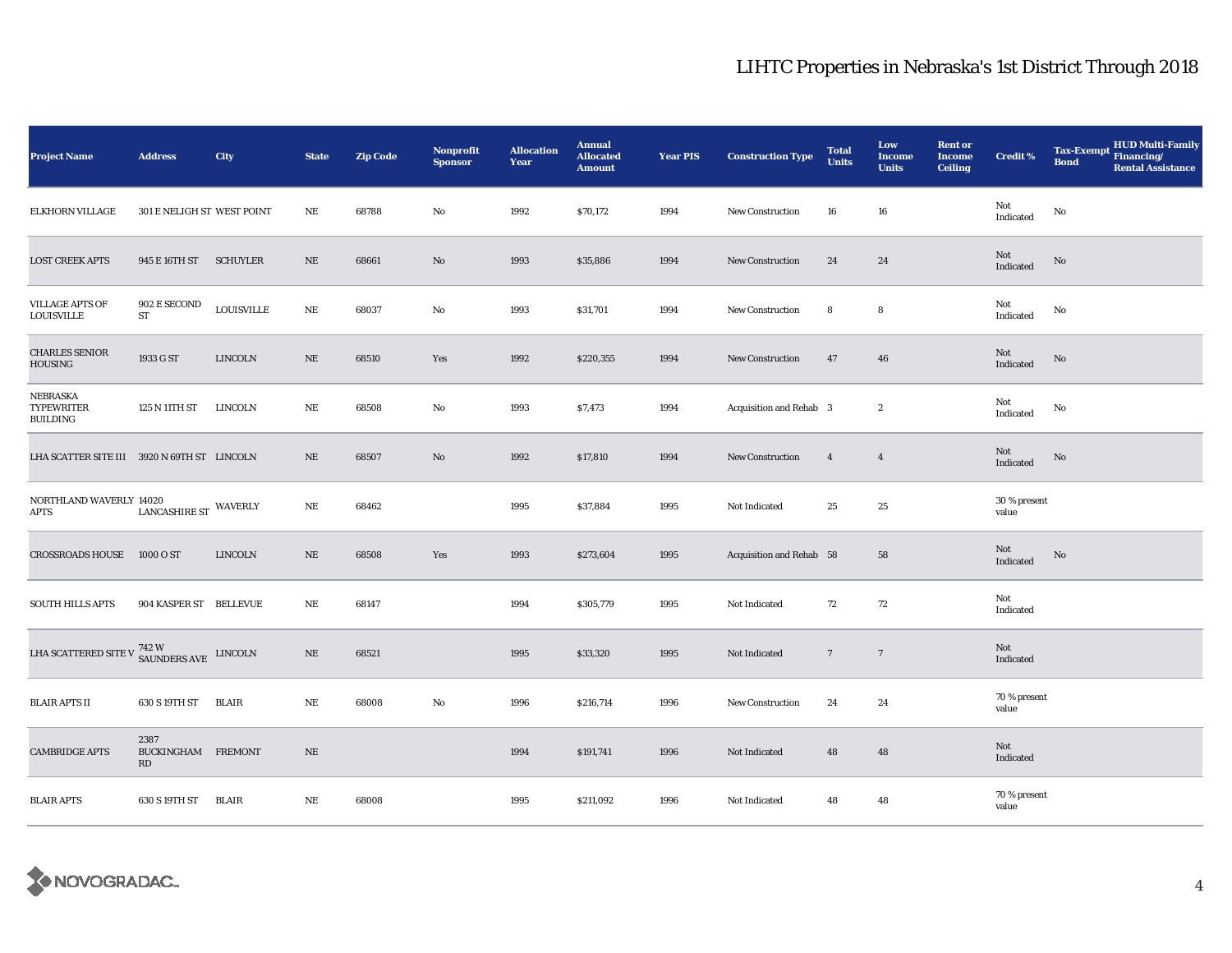| <b>Project Name</b>                                                           | <b>Address</b>                                        | City              | <b>State</b> | <b>Zip Code</b> | <b>Nonprofit</b><br><b>Sponsor</b> | <b>Allocation</b><br>Year | <b>Annual</b><br><b>Allocated</b><br><b>Amount</b> | <b>Year PIS</b> | <b>Construction Type</b>       | <b>Total</b><br><b>Units</b> | Low<br><b>Income</b><br><b>Units</b> | <b>Rent or</b><br><b>Income</b><br><b>Ceiling</b> | <b>Credit %</b>                                   | <b>HUD Multi-Family</b><br>Tax-Exempt Financing/<br><b>Bond</b><br><b>Rental Assistance</b> |
|-------------------------------------------------------------------------------|-------------------------------------------------------|-------------------|--------------|-----------------|------------------------------------|---------------------------|----------------------------------------------------|-----------------|--------------------------------|------------------------------|--------------------------------------|---------------------------------------------------|---------------------------------------------------|---------------------------------------------------------------------------------------------|
| ELKHORN VILLAGE                                                               | 301 E NELIGH ST WEST POINT                            |                   | $\rm NE$     | 68788           | No                                 | 1992                      | \$70,172                                           | 1994            | New Construction               | 16                           | 16                                   |                                                   | Not<br>Indicated                                  | No                                                                                          |
| <b>LOST CREEK APTS</b>                                                        | 945 E 16TH ST SCHUYLER                                |                   | NE           | 68661           | No                                 | 1993                      | \$35,886                                           | 1994            | New Construction               | 24                           | 24                                   |                                                   | Not<br>Indicated                                  | No                                                                                          |
| <b>VILLAGE APTS OF</b><br><b>LOUISVILLE</b>                                   | $902\to\text{SECOND}$<br>${\rm ST}$                   | <b>LOUISVILLE</b> | $\rm NE$     | 68037           | No                                 | 1993                      | \$31,701                                           | 1994            | New Construction               | 8                            | 8                                    |                                                   | Not<br>$\label{thm:indicated} \textbf{Indicated}$ | No                                                                                          |
| <b>CHARLES SENIOR</b><br>HOUSING                                              | 1933 G ST                                             | <b>LINCOLN</b>    | $\rm NE$     | 68510           | Yes                                | 1992                      | \$220,355                                          | 1994            | New Construction               | 47                           | 46                                   |                                                   | Not<br>Indicated                                  | No                                                                                          |
| NEBRASKA<br><b>TYPEWRITER</b><br><b>BUILDING</b>                              | 125 N 11TH ST                                         | LINCOLN           | $\rm NE$     | 68508           | No                                 | 1993                      | \$7,473                                            | 1994            | <b>Acquisition and Rehab 3</b> |                              | $\boldsymbol{2}$                     |                                                   | Not<br>$\label{thm:indicated} \textbf{Indicated}$ | No                                                                                          |
| LHA SCATTER SITE III 3920 N 69TH ST LINCOLN                                   |                                                       |                   | $\rm NE$     | 68507           | No                                 | 1992                      | \$17,810                                           | 1994            | <b>New Construction</b>        | $\overline{4}$               | $\overline{4}$                       |                                                   | Not<br>Indicated                                  | No                                                                                          |
| NORTHLAND WAVERLY 14020<br>APTS                                               | $\ensuremath{\textsc{LANCASHIRE}\,ST}\xspace$ WAVERLY |                   | $\rm NE$     | 68462           |                                    | 1995                      | \$37,884                                           | 1995            | Not Indicated                  | 25                           | 25                                   |                                                   | 30 % present<br>value                             |                                                                                             |
| <b>CROSSROADS HOUSE</b>                                                       | 1000 O ST                                             | <b>LINCOLN</b>    | $\rm NE$     | 68508           | Yes                                | 1993                      | \$273,604                                          | 1995            | Acquisition and Rehab 58       |                              | 58                                   |                                                   | Not<br>Indicated                                  | No                                                                                          |
| <b>SOUTH HILLS APTS</b>                                                       | 904 KASPER ST BELLEVUE                                |                   | $\rm NE$     | 68147           |                                    | 1994                      | \$305,779                                          | 1995            | Not Indicated                  | 72                           | 72                                   |                                                   | Not<br>Indicated                                  |                                                                                             |
| LHA SCATTERED SITE V $^{742\,\rm{W}}_{\phantom{1}\rm{SAUNDERS\,AVE}}$ LINCOLN |                                                       |                   | $\rm NE$     | 68521           |                                    | 1995                      | \$33,320                                           | 1995            | Not Indicated                  | $\overline{7}$               | $\overline{7}$                       |                                                   | Not<br>Indicated                                  |                                                                                             |
| <b>BLAIR APTS II</b>                                                          | 630 S 19TH ST                                         | <b>BLAIR</b>      | $\rm NE$     | 68008           | $\mathbf{No}$                      | 1996                      | \$216,714                                          | 1996            | <b>New Construction</b>        | 24                           | 24                                   |                                                   | 70 % present<br>value                             |                                                                                             |
| <b>CAMBRIDGE APTS</b>                                                         | 2387<br>BUCKINGHAM FREMONT<br>RD                      |                   | $\rm NE$     |                 |                                    | 1994                      | \$191,741                                          | 1996            | Not Indicated                  | 48                           | 48                                   |                                                   | Not<br>Indicated                                  |                                                                                             |
| <b>BLAIR APTS</b>                                                             | 630 S 19TH ST                                         | BLAIR             | $\rm NE$     | 68008           |                                    | 1995                      | \$211,092                                          | 1996            | Not Indicated                  | 48                           | 48                                   |                                                   | 70 % present<br>value                             |                                                                                             |

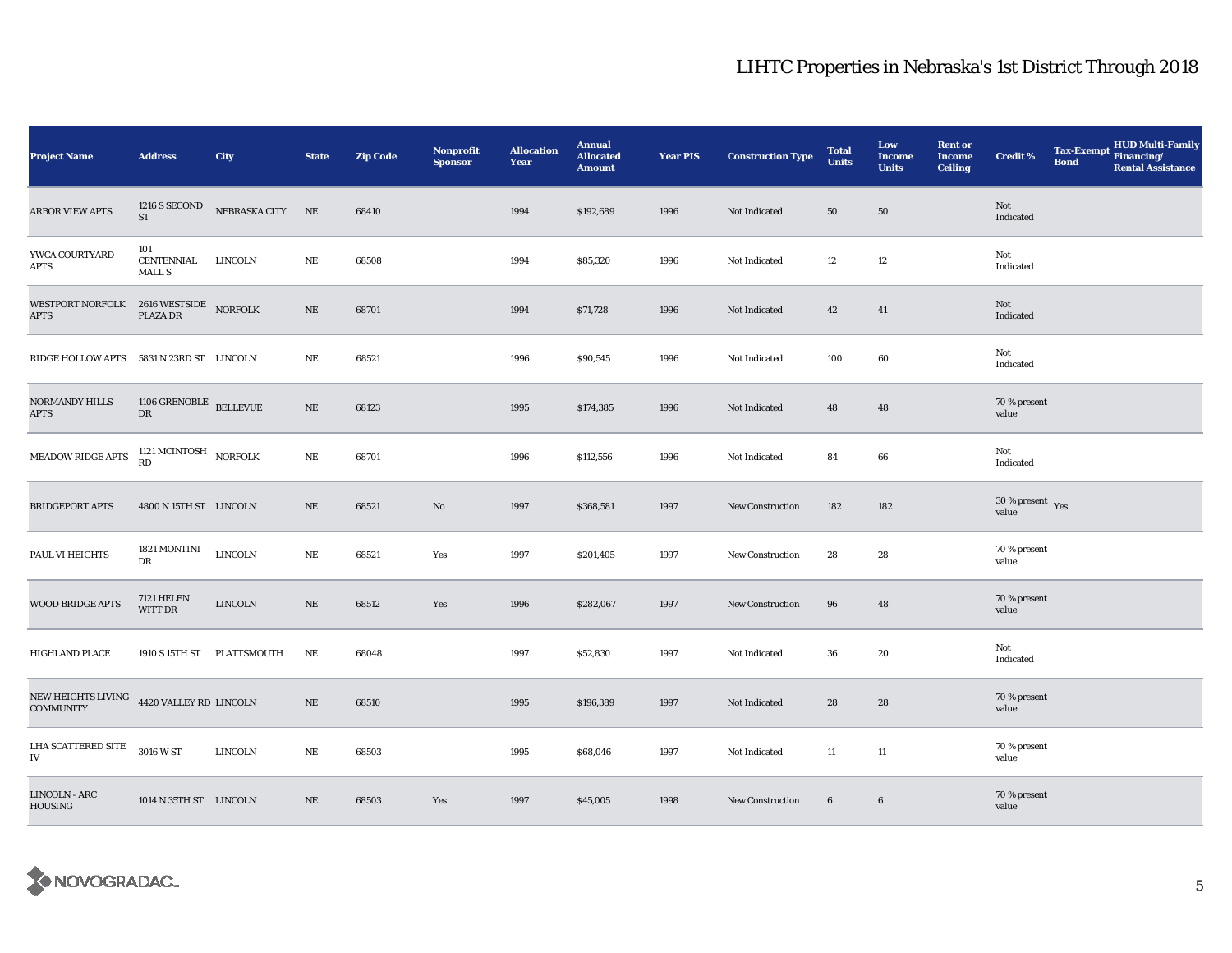| <b>Project Name</b>                                                                                                                                                                   | <b>Address</b>                            | City                       | <b>State</b> | <b>Zip Code</b> | Nonprofit<br><b>Sponsor</b> | <b>Allocation</b><br>Year | <b>Annual</b><br><b>Allocated</b><br><b>Amount</b> | <b>Year PIS</b> | <b>Construction Type</b> | <b>Total</b><br><b>Units</b> | Low<br>Income<br><b>Units</b> | <b>Rent or</b><br>Income<br><b>Ceiling</b> | <b>Credit %</b>                 | <b>Bond</b> | Tax-Exempt HUD Multi-Family<br><b>Rental Assistance</b> |
|---------------------------------------------------------------------------------------------------------------------------------------------------------------------------------------|-------------------------------------------|----------------------------|--------------|-----------------|-----------------------------|---------------------------|----------------------------------------------------|-----------------|--------------------------|------------------------------|-------------------------------|--------------------------------------------|---------------------------------|-------------|---------------------------------------------------------|
| <b>ARBOR VIEW APTS</b>                                                                                                                                                                | $1216$ S SECOND<br>ST                     | NEBRASKA CITY NE           |              | 68410           |                             | 1994                      | \$192,689                                          | 1996            | Not Indicated            | 50                           | 50                            |                                            | Not<br>Indicated                |             |                                                         |
| YWCA COURTYARD<br>APTS                                                                                                                                                                | 101<br><b>CENTENNIAL</b><br><b>MALL S</b> | LINCOLN                    | NE           | 68508           |                             | 1994                      | \$85,320                                           | 1996            | Not Indicated            | 12                           | 12                            |                                            | Not<br>Indicated                |             |                                                         |
| $\begin{tabular}{ll} \bf \textit{WESTPORT NORFOLK} & 2616 \textit{WESTSIDE} \\ \textit{APTS} & \textit{PLAZA DR} \\ \end{tabular} \begin{tabular}{ll} \textit{NORFOLK} \end{tabular}$ |                                           |                            | $\rm NE$     | 68701           |                             | 1994                      | \$71,728                                           | 1996            | Not Indicated            | 42                           | 41                            |                                            | Not<br>Indicated                |             |                                                         |
| RIDGE HOLLOW APTS 5831 N 23RD ST LINCOLN                                                                                                                                              |                                           |                            | NE           | 68521           |                             | 1996                      | \$90,545                                           | 1996            | Not Indicated            | 100                          | $\bf{60}$                     |                                            | Not<br>Indicated                |             |                                                         |
| NORMANDY HILLS<br><b>APTS</b>                                                                                                                                                         | 1106 GRENOBLE BELLEVUE<br>DR              |                            | $\rm NE$     | 68123           |                             | 1995                      | \$174,385                                          | 1996            | Not Indicated            | 48                           | 48                            |                                            | 70 % present<br>value           |             |                                                         |
| MEADOW RIDGE APTS                                                                                                                                                                     | 1121 MCINTOSH NORFOLK RD                  |                            | $\rm NE$     | 68701           |                             | 1996                      | \$112,556                                          | 1996            | Not Indicated            | 84                           | 66                            |                                            | Not<br>Indicated                |             |                                                         |
| <b>BRIDGEPORT APTS</b>                                                                                                                                                                | 4800 N 15TH ST LINCOLN                    |                            | $\rm NE$     | 68521           | No                          | 1997                      | \$368,581                                          | 1997            | <b>New Construction</b>  | 182                          | 182                           |                                            | $30\,\%$ present $\,$ Yes value |             |                                                         |
| PAUL VI HEIGHTS                                                                                                                                                                       | 1821 MONTINI<br>DR                        | <b>LINCOLN</b>             | $\rm NE$     | 68521           | Yes                         | 1997                      | \$201,405                                          | 1997            | <b>New Construction</b>  | 28                           | 28                            |                                            | 70 % present<br>value           |             |                                                         |
| WOOD BRIDGE APTS                                                                                                                                                                      | <b>7121 HELEN</b><br>WITT DR              | ${\rm LINCOLN}$            | $\rm NE$     | 68512           | Yes                         | 1996                      | \$282,067                                          | 1997            | <b>New Construction</b>  | 96                           | 48                            |                                            | 70 % present<br>value           |             |                                                         |
| HIGHLAND PLACE                                                                                                                                                                        |                                           | 1910 S 15TH ST PLATTSMOUTH | NE           | 68048           |                             | 1997                      | \$52,830                                           | 1997            | Not Indicated            | 36                           | 20                            |                                            | Not<br>Indicated                |             |                                                         |
| NEW HEIGHTS LIVING 4420 VALLEY RD LINCOLN<br><b>COMMUNITY</b>                                                                                                                         |                                           |                            | $\rm NE$     | 68510           |                             | 1995                      | \$196,389                                          | 1997            | Not Indicated            | 28                           | 28                            |                                            | 70 % present<br>value           |             |                                                         |
| LHA SCATTERED SITE<br>IV                                                                                                                                                              | 3016 W ST                                 | LINCOLN                    | $\rm NE$     | 68503           |                             | 1995                      | \$68,046                                           | 1997            | Not Indicated            | 11                           | $11\,$                        |                                            | 70 % present<br>value           |             |                                                         |
| LINCOLN - ARC<br><b>HOUSING</b>                                                                                                                                                       | 1014 N 35TH ST LINCOLN                    |                            | NE           | 68503           | Yes                         | 1997                      | \$45,005                                           | 1998            | <b>New Construction</b>  | $6\phantom{.0}$              | $\boldsymbol{6}$              |                                            | 70 % present<br>value           |             |                                                         |

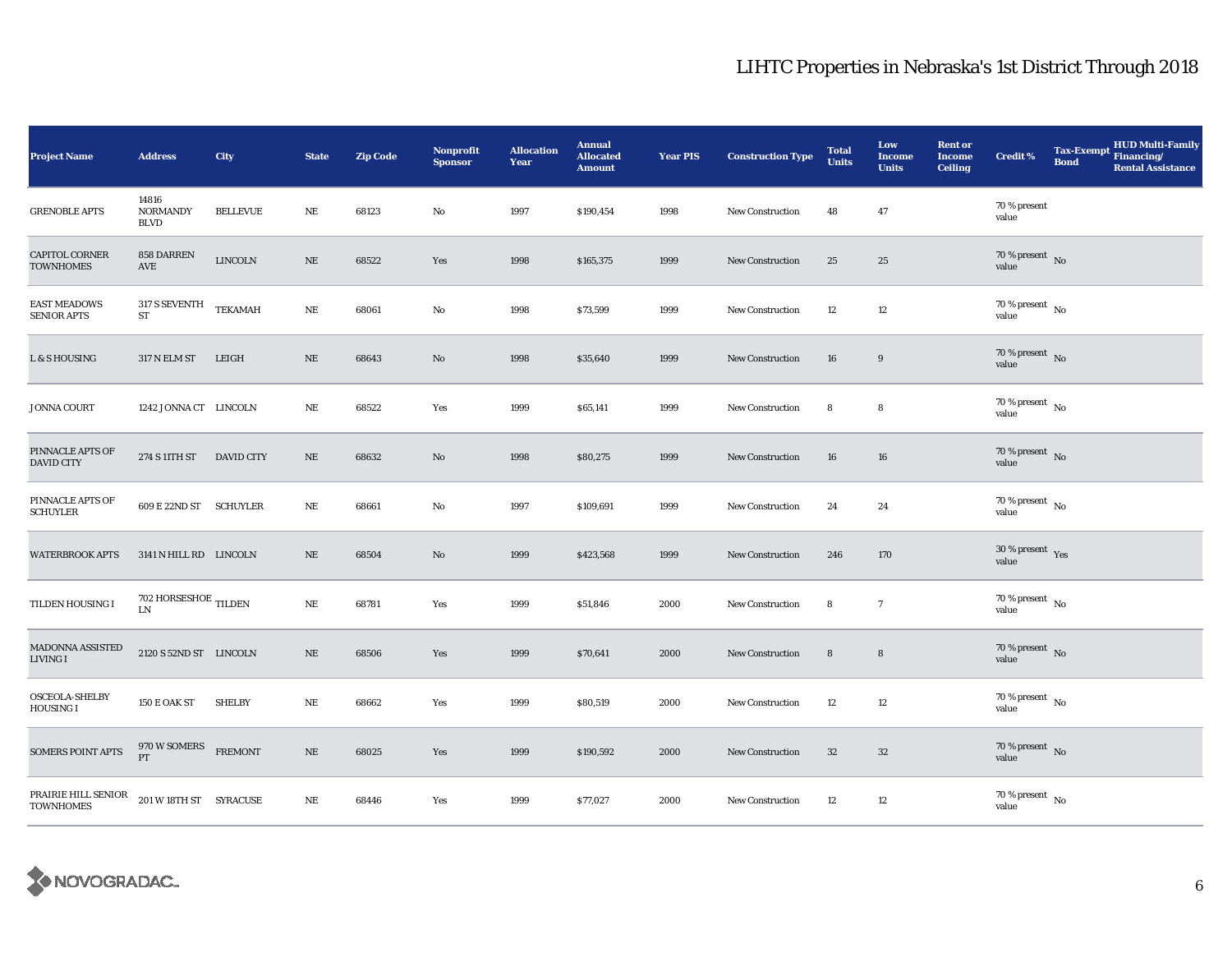| <b>Project Name</b>                       | <b>Address</b>                                   | City              | <b>State</b> | <b>Zip Code</b> | <b>Nonprofit</b><br><b>Sponsor</b> | <b>Allocation</b><br>Year | <b>Annual</b><br><b>Allocated</b><br><b>Amount</b> | <b>Year PIS</b> | <b>Construction Type</b> | <b>Total</b><br><b>Units</b> | Low<br><b>Income</b><br><b>Units</b> | <b>Rent or</b><br><b>Income</b><br><b>Ceiling</b> | <b>Credit %</b>                      | <b>Bond</b> | <b>HUD Multi-Family</b><br>Tax-Exempt Financing/<br><b>Rental Assistance</b> |
|-------------------------------------------|--------------------------------------------------|-------------------|--------------|-----------------|------------------------------------|---------------------------|----------------------------------------------------|-----------------|--------------------------|------------------------------|--------------------------------------|---------------------------------------------------|--------------------------------------|-------------|------------------------------------------------------------------------------|
| <b>GRENOBLE APTS</b>                      | 14816<br><b>NORMANDY</b><br><b>BLVD</b>          | <b>BELLEVUE</b>   | NE           | 68123           | $\rm No$                           | 1997                      | \$190,454                                          | 1998            | New Construction         | 48                           | 47                                   |                                                   | 70 % present<br>value                |             |                                                                              |
| <b>CAPITOL CORNER</b><br><b>TOWNHOMES</b> | 858 DARREN<br>$\operatorname{AVE}$               | <b>LINCOLN</b>    | $\rm NE$     | 68522           | Yes                                | 1998                      | \$165,375                                          | 1999            | <b>New Construction</b>  | 25                           | 25                                   |                                                   | 70 % present $\,$ No $\,$<br>value   |             |                                                                              |
| <b>EAST MEADOWS</b><br><b>SENIOR APTS</b> | 317 S SEVENTH<br>${\rm ST}$                      | <b>TEKAMAH</b>    | $\rm NE$     | 68061           | $\rm No$                           | 1998                      | \$73,599                                           | 1999            | New Construction         | 12                           | 12                                   |                                                   | $70$ % present $\,$ No $\,$<br>value |             |                                                                              |
| L & S HOUSING                             | 317 N ELM ST                                     | LEIGH             | $\rm NE$     | 68643           | $\mathbf{N}\mathbf{o}$             | 1998                      | \$35,640                                           | 1999            | <b>New Construction</b>  | 16                           | 9                                    |                                                   | $70\,\%$ present $\,$ No value       |             |                                                                              |
| <b>JONNA COURT</b>                        | 1242 JONNA CT LINCOLN                            |                   | $\rm NE$     | 68522           | Yes                                | 1999                      | \$65,141                                           | 1999            | New Construction         | 8                            | 8                                    |                                                   | $70\,\%$ present $\,$ No value       |             |                                                                              |
| PINNACLE APTS OF<br><b>DAVID CITY</b>     | 274 S 11TH ST                                    | <b>DAVID CITY</b> | NE           | 68632           | $\rm No$                           | 1998                      | \$80,275                                           | 1999            | New Construction         | 16                           | 16                                   |                                                   | $70\,\%$ present $\,$ No value       |             |                                                                              |
| PINNACLE APTS OF<br><b>SCHUYLER</b>       | 609 E 22ND ST SCHUYLER                           |                   | $\rm NE$     | 68661           | $\rm No$                           | 1997                      | \$109,691                                          | 1999            | <b>New Construction</b>  | 24                           | 24                                   |                                                   | $70\,\%$ present $\,$ No value       |             |                                                                              |
| <b>WATERBROOK APTS</b>                    | 3141 N HILL RD LINCOLN                           |                   | $\rm NE$     | 68504           | $\rm No$                           | 1999                      | \$423,568                                          | 1999            | New Construction         | 246                          | 170                                  |                                                   | $30\,\%$ present $\,$ Yes value      |             |                                                                              |
| TILDEN HOUSING I                          | $702$ HORSESHOE $_{\rm TILDEN}$<br>$\text{LN}{}$ |                   | $\rm NE$     | 68781           | Yes                                | 1999                      | \$51,846                                           | 2000            | New Construction         | 8                            | $\overline{7}$                       |                                                   | $70$ % present $\,$ No $\,$<br>value |             |                                                                              |
| MADONNA ASSISTED<br>LIVING I              | 2120 S 52ND ST LINCOLN                           |                   | $\rm NE$     | 68506           | Yes                                | 1999                      | \$70,641                                           | 2000            | New Construction         | $\bf 8$                      | $\bf 8$                              |                                                   | 70 % present $\hbox{~No}$<br>value   |             |                                                                              |
| OSCEOLA-SHELBY<br><b>HOUSING I</b>        | <b>150 E OAK ST</b>                              | <b>SHELBY</b>     | $\rm NE$     | 68662           | Yes                                | 1999                      | \$80,519                                           | 2000            | <b>New Construction</b>  | 12                           | 12                                   |                                                   | 70 % present $\hbox{~No}$<br>value   |             |                                                                              |
| <b>SOMERS POINT APTS</b>                  | 970 W SOMERS<br>PT                               | <b>FREMONT</b>    | $\rm NE$     | 68025           | Yes                                | 1999                      | \$190,592                                          | 2000            | New Construction         | $32\,$                       | 32                                   |                                                   | 70 % present $\hbox{~No}$<br>value   |             |                                                                              |
| PRAIRIE HILL SENIOR<br><b>TOWNHOMES</b>   | 201 W 18TH ST SYRACUSE                           |                   | $\rm NE$     | 68446           | Yes                                | 1999                      | \$77,027                                           | 2000            | New Construction         | 12                           | $12\,$                               |                                                   | $70\,\%$ present $\,$ No value       |             |                                                                              |

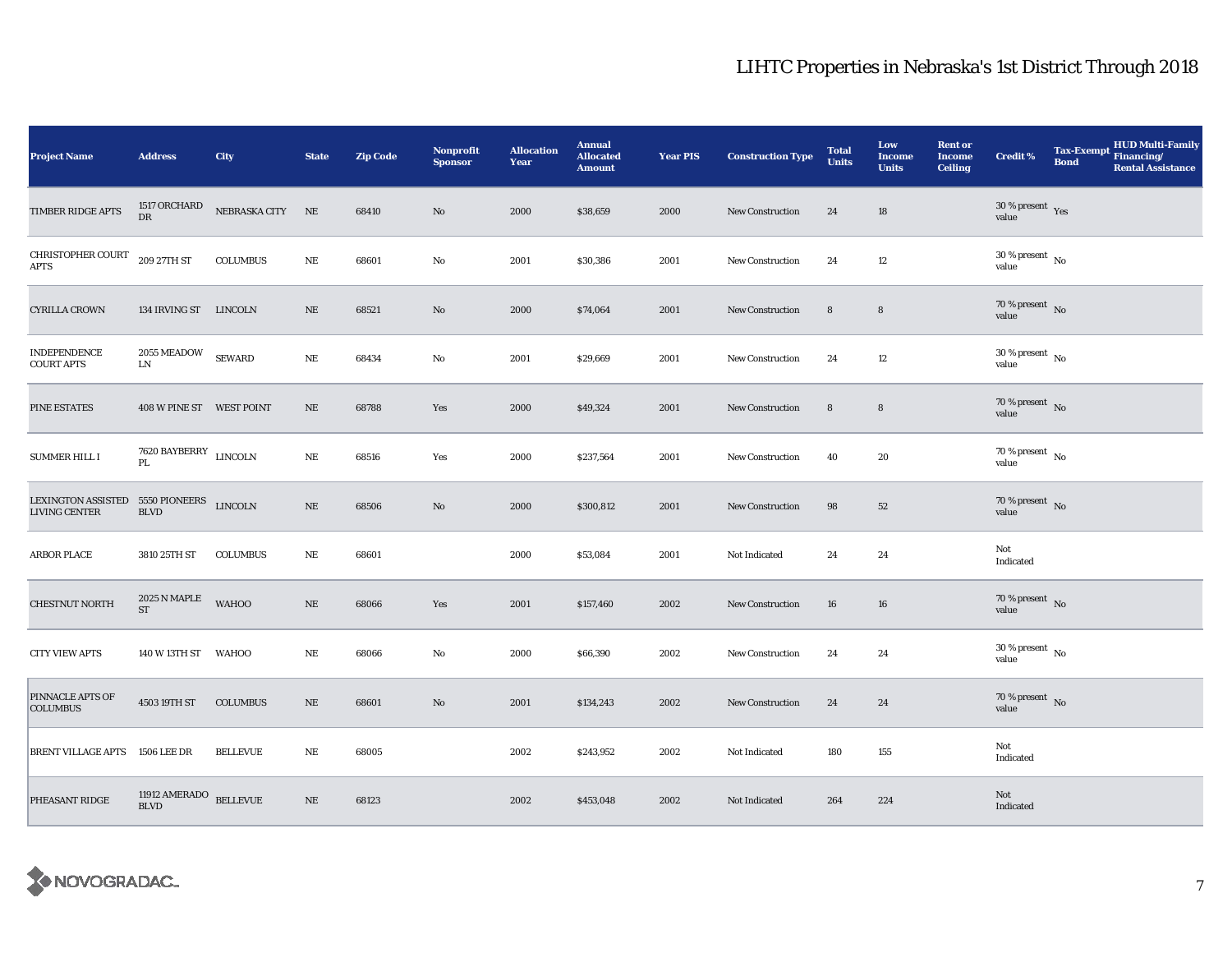| <b>Project Name</b>                                              | <b>Address</b>                         | City             | <b>State</b> | <b>Zip Code</b> | <b>Nonprofit</b><br><b>Sponsor</b> | <b>Allocation</b><br>Year | <b>Annual</b><br><b>Allocated</b><br><b>Amount</b> | <b>Year PIS</b> | <b>Construction Type</b> | <b>Total</b><br><b>Units</b> | Low<br><b>Income</b><br><b>Units</b> | <b>Rent or</b><br>Income<br><b>Ceiling</b> | <b>Credit %</b>                          | <b>Bond</b> | <b>HUD Multi-Family</b><br>Tax-Exempt Financing/<br><b>Rental Assistance</b> |
|------------------------------------------------------------------|----------------------------------------|------------------|--------------|-----------------|------------------------------------|---------------------------|----------------------------------------------------|-----------------|--------------------------|------------------------------|--------------------------------------|--------------------------------------------|------------------------------------------|-------------|------------------------------------------------------------------------------|
| TIMBER RIDGE APTS                                                | 1517 ORCHARD<br>${\rm D}{\rm R}$       | NEBRASKA CITY NE |              | 68410           | No                                 | 2000                      | \$38,659                                           | 2000            | <b>New Construction</b>  | 24                           | 18                                   |                                            | $30\,\%$ present $\,$ Yes value          |             |                                                                              |
| CHRISTOPHER COURT<br><b>APTS</b>                                 | 209 27TH ST                            | <b>COLUMBUS</b>  | $\rm NE$     | 68601           | No                                 | 2001                      | \$30,386                                           | 2001            | <b>New Construction</b>  | 24                           | 12                                   |                                            | $30\,\%$ present $_{\, \rm No}$<br>value |             |                                                                              |
| <b>CYRILLA CROWN</b>                                             | 134 IRVING ST LINCOLN                  |                  | $\rm NE$     | 68521           | No                                 | 2000                      | \$74,064                                           | 2001            | New Construction         | 8                            | 8                                    |                                            | $70\,\%$ present $\,$ No value           |             |                                                                              |
| <b>INDEPENDENCE</b><br><b>COURT APTS</b>                         | 2055 MEADOW<br>${\rm LN}$              | <b>SEWARD</b>    | $\rm NE$     | 68434           | No                                 | 2001                      | \$29,669                                           | 2001            | <b>New Construction</b>  | 24                           | 12                                   |                                            | $30$ % present $\,$ No $\,$<br>value     |             |                                                                              |
| PINE ESTATES                                                     | 408 W PINE ST WEST POINT               |                  | $\rm NE$     | 68788           | Yes                                | 2000                      | \$49,324                                           | 2001            | <b>New Construction</b>  | $\bf 8$                      | $\bf 8$                              |                                            | $70\,\%$ present $\,$ No value           |             |                                                                              |
| <b>SUMMER HILL I</b>                                             | 7620 BAYBERRY LINCOLN<br>$\mathbf{PL}$ |                  | $\rm NE$     | 68516           | Yes                                | 2000                      | \$237,564                                          | 2001            | <b>New Construction</b>  | 40                           | 20                                   |                                            | $70\,\%$ present $\,$ No value           |             |                                                                              |
| LEXINGTON ASSISTED 5550 PIONEERS LINCOLN<br><b>LIVING CENTER</b> | <b>BLVD</b>                            |                  | $\rm NE$     | 68506           | No                                 | 2000                      | \$300,812                                          | 2001            | <b>New Construction</b>  | 98                           | 52                                   |                                            | $70\,\%$ present $${\rm No}$$ value      |             |                                                                              |
| <b>ARBOR PLACE</b>                                               | 3810 25TH ST                           | <b>COLUMBUS</b>  | $\rm NE$     | 68601           |                                    | 2000                      | \$53,084                                           | 2001            | Not Indicated            | 24                           | 24                                   |                                            | Not<br>Indicated                         |             |                                                                              |
| CHESTNUT NORTH                                                   | 2025 N MAPLE<br>$\operatorname{ST}$    | <b>WAHOO</b>     | $\rm NE$     | 68066           | Yes                                | 2001                      | \$157,460                                          | 2002            | <b>New Construction</b>  | 16                           | 16                                   |                                            | 70 % present $\hbox{~No}$<br>value       |             |                                                                              |
| <b>CITY VIEW APTS</b>                                            | 140 W 13TH ST WAHOO                    |                  | NE           | 68066           | No                                 | 2000                      | \$66,390                                           | 2002            | New Construction         | 24                           | 24                                   |                                            | $30$ % present $\,$ No $\,$<br>value     |             |                                                                              |
| PINNACLE APTS OF<br><b>COLUMBUS</b>                              | 4503 19TH ST                           | <b>COLUMBUS</b>  | NE           | 68601           | No                                 | 2001                      | \$134,243                                          | 2002            | <b>New Construction</b>  | 24                           | 24                                   |                                            | $70\,\%$ present $\,$ No value           |             |                                                                              |
| BRENT VILLAGE APTS 1506 LEE DR                                   |                                        | <b>BELLEVUE</b>  | $\rm NE$     | 68005           |                                    | 2002                      | \$243,952                                          | 2002            | Not Indicated            | 180                          | 155                                  |                                            | Not<br>Indicated                         |             |                                                                              |
| PHEASANT RIDGE                                                   | 11912 AMERADO $$\tt{BELLEVUE}$$        |                  | $\rm NE$     | 68123           |                                    | 2002                      | \$453,048                                          | 2002            | Not Indicated            | 264                          | 224                                  |                                            | Not<br>Indicated                         |             |                                                                              |

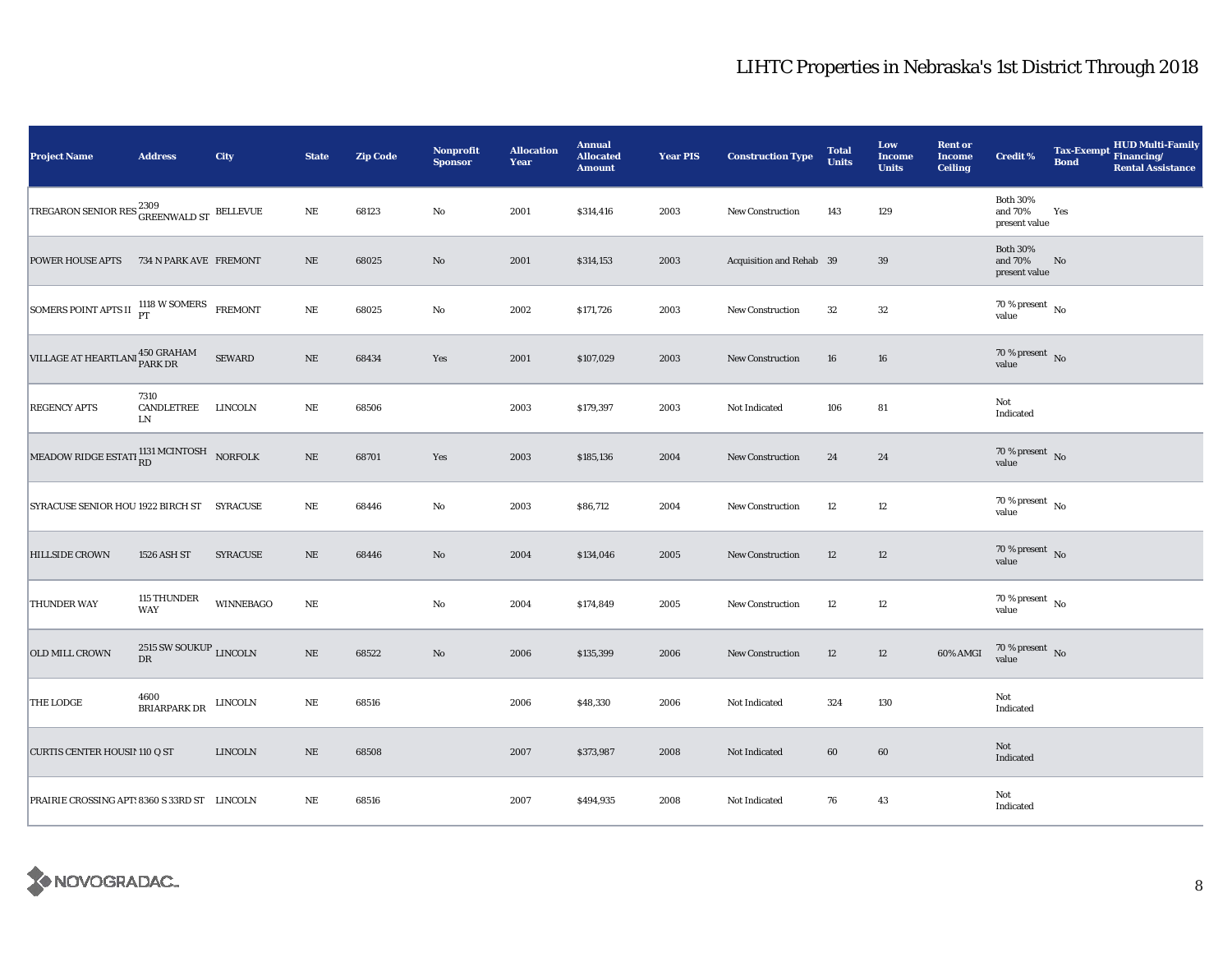| <b>Project Name</b>                                            | <b>Address</b>                                | City             | <b>State</b> | <b>Zip Code</b> | <b>Nonprofit</b><br><b>Sponsor</b> | <b>Allocation</b><br>Year | <b>Annual</b><br><b>Allocated</b><br><b>Amount</b> | <b>Year PIS</b> | <b>Construction Type</b> | <b>Total</b><br><b>Units</b> | Low<br><b>Income</b><br><b>Units</b> | <b>Rent or</b><br><b>Income</b><br><b>Ceiling</b> | <b>Credit %</b>                             | <b>Bond</b> | <b>HUD Multi-Family</b><br>Tax-Exempt Financing/<br><b>Rental Assistance</b> |
|----------------------------------------------------------------|-----------------------------------------------|------------------|--------------|-----------------|------------------------------------|---------------------------|----------------------------------------------------|-----------------|--------------------------|------------------------------|--------------------------------------|---------------------------------------------------|---------------------------------------------|-------------|------------------------------------------------------------------------------|
| TREGARON SENIOR RES ${}^{2309}_{\tt GREENWALD\;ST}$ BELLEVUE   |                                               |                  | $\rm NE$     | 68123           | No                                 | 2001                      | \$314,416                                          | 2003            | <b>New Construction</b>  | 143                          | 129                                  |                                                   | <b>Both 30%</b><br>and 70%<br>present value | Yes         |                                                                              |
| <b>POWER HOUSE APTS</b>                                        | 734 N PARK AVE FREMONT                        |                  | $\rm NE$     | 68025           | $\rm No$                           | 2001                      | \$314,153                                          | 2003            | Acquisition and Rehab 39 |                              | $39\,$                               |                                                   | <b>Both 30%</b><br>and 70%<br>present value | No          |                                                                              |
| SOMERS POINT APTS II 1118 W SOMERS FREMONT                     |                                               |                  | $\rm NE$     | 68025           | $\mathbf{No}$                      | 2002                      | \$171,726                                          | 2003            | New Construction         | 32                           | 32                                   |                                                   | $70$ % present $\,$ No $\,$<br>value        |             |                                                                              |
| VILLAGE AT HEARTLANI 450 GRAHAM                                |                                               | <b>SEWARD</b>    | $\rm NE$     | 68434           | Yes                                | 2001                      | \$107,029                                          | 2003            | <b>New Construction</b>  | 16                           | 16                                   |                                                   | 70 % present $\hbox{~No}$<br>value          |             |                                                                              |
| <b>REGENCY APTS</b>                                            | 7310<br>CANDLETREE LINCOLN<br>LN              |                  | $\rm NE$     | 68506           |                                    | 2003                      | \$179,397                                          | 2003            | Not Indicated            | 106                          | 81                                   |                                                   | Not<br>Indicated                            |             |                                                                              |
| MEADOW RIDGE ESTATI $_{\rm RD}^{1131\text{ MCINTOSH}}$ NORFOLK |                                               |                  | $\rm NE$     | 68701           | Yes                                | 2003                      | \$185,136                                          | 2004            | <b>New Construction</b>  | 24                           | 24                                   |                                                   | $70\,\%$ present $\,$ No value              |             |                                                                              |
| SYRACUSE SENIOR HOU 1922 BIRCH ST SYRACUSE                     |                                               |                  | $\rm NE$     | 68446           | No                                 | 2003                      | \$86,712                                           | 2004            | <b>New Construction</b>  | 12                           | $12\,$                               |                                                   | $70\,\%$ present $\,$ No value              |             |                                                                              |
| <b>HILLSIDE CROWN</b>                                          | 1526 ASH ST                                   | <b>SYRACUSE</b>  | $\rm NE$     | 68446           | $\rm No$                           | 2004                      | \$134,046                                          | 2005            | <b>New Construction</b>  | 12                           | 12                                   |                                                   | $70\,\%$ present $\,$ No value              |             |                                                                              |
| <b>THUNDER WAY</b>                                             | 115 THUNDER<br><b>WAY</b>                     | <b>WINNEBAGO</b> | $\rm NE$     |                 | $\rm No$                           | 2004                      | \$174,849                                          | 2005            | New Construction         | 12                           | 12                                   |                                                   | $70$ % present $\,$ No $\,$<br>value        |             |                                                                              |
| <b>OLD MILL CROWN</b>                                          | 2515 SW SOUKUP $_{\rm LINCOLN}$<br>${\rm DR}$ |                  | $\rm NE$     | 68522           | $\rm No$                           | 2006                      | \$135,399                                          | 2006            | New Construction         | 12                           | 12                                   | 60% AMGI                                          | $70\,\%$ present $\,$ No value              |             |                                                                              |
| <b>THE LODGE</b>                                               | 4600<br>BRIARPARK DR                          | LINCOLN          | NE           | 68516           |                                    | 2006                      | \$48,330                                           | 2006            | Not Indicated            | 324                          | 130                                  |                                                   | Not<br>Indicated                            |             |                                                                              |
| <b>CURTIS CENTER HOUSII 110 Q ST</b>                           |                                               | <b>LINCOLN</b>   | $\rm NE$     | 68508           |                                    | 2007                      | \$373,987                                          | 2008            | Not Indicated            | 60                           | 60                                   |                                                   | Not<br>Indicated                            |             |                                                                              |
| PRAIRIE CROSSING APT: 8360 S 33RD ST LINCOLN                   |                                               |                  | $\rm NE$     | 68516           |                                    | 2007                      | \$494,935                                          | 2008            | Not Indicated            | 76                           | 43                                   |                                                   | Not<br>Indicated                            |             |                                                                              |

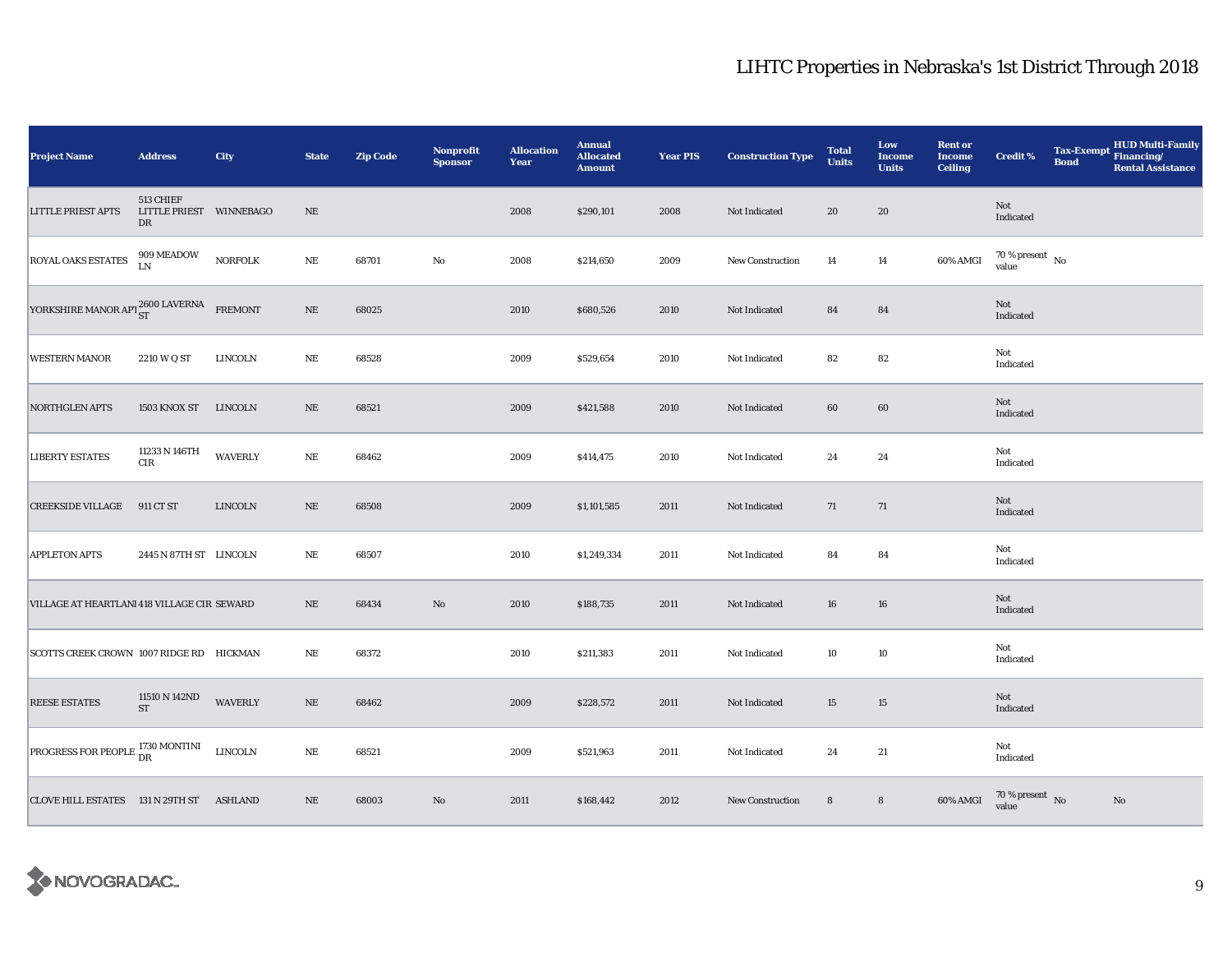| <b>Project Name</b>                         | <b>Address</b>                             | City            | <b>State</b> | <b>Zip Code</b> | <b>Nonprofit</b><br><b>Sponsor</b> | <b>Allocation</b><br>Year | <b>Annual</b><br><b>Allocated</b><br><b>Amount</b> | <b>Year PIS</b> | <b>Construction Type</b> | <b>Total</b><br><b>Units</b> | Low<br><b>Income</b><br><b>Units</b> | <b>Rent or</b><br><b>Income</b><br><b>Ceiling</b> | <b>Credit %</b>                        | <b>Bond</b> | <b>HUD Multi-Family</b><br>Tax-Exempt Financing/<br><b>Rental Assistance</b> |
|---------------------------------------------|--------------------------------------------|-----------------|--------------|-----------------|------------------------------------|---------------------------|----------------------------------------------------|-----------------|--------------------------|------------------------------|--------------------------------------|---------------------------------------------------|----------------------------------------|-------------|------------------------------------------------------------------------------|
| <b>LITTLE PRIEST APTS</b>                   | 513 CHIEF<br>LITTLE PRIEST WINNEBAGO<br>DR |                 | $\rm NE$     |                 |                                    | 2008                      | \$290,101                                          | 2008            | Not Indicated            | 20                           | 20                                   |                                                   | Not<br>Indicated                       |             |                                                                              |
| <b>ROYAL OAKS ESTATES</b>                   | $909\,\mathrm{MEADOW}$ LN                  | <b>NORFOLK</b>  | $\rm NE$     | 68701           | No                                 | 2008                      | \$214,650                                          | 2009            | <b>New Construction</b>  | 14                           | $14\,$                               | 60% AMGI                                          | $70\,\%$ present $\,$ No value         |             |                                                                              |
| YORKSHIRE MANOR APT ST 2600 LAVERNA FREMONT |                                            |                 | $\rm NE$     | 68025           |                                    | 2010                      | \$680,526                                          | 2010            | Not Indicated            | 84                           | 84                                   |                                                   | Not<br>Indicated                       |             |                                                                              |
| <b>WESTERN MANOR</b>                        | 2210 W Q ST                                | <b>LINCOLN</b>  | $\rm{NE}$    | 68528           |                                    | 2009                      | \$529,654                                          | 2010            | Not Indicated            | 82                           | 82                                   |                                                   | Not<br>Indicated                       |             |                                                                              |
| <b>NORTHGLEN APTS</b>                       | 1503 KNOX ST LINCOLN                       |                 | $\rm NE$     | 68521           |                                    | 2009                      | \$421,588                                          | 2010            | Not Indicated            | 60                           | 60                                   |                                                   | Not<br>Indicated                       |             |                                                                              |
| <b>LIBERTY ESTATES</b>                      | $11233$ N $146\mathrm{TH}$<br>$\rm CIR$    | <b>WAVERLY</b>  | $\rm NE$     | 68462           |                                    | 2009                      | \$414,475                                          | 2010            | Not Indicated            | 24                           | 24                                   |                                                   | Not<br>Indicated                       |             |                                                                              |
| <b>CREEKSIDE VILLAGE</b>                    | 911 CT ST                                  | <b>LINCOLN</b>  | $\rm NE$     | 68508           |                                    | 2009                      | \$1,101,585                                        | 2011            | Not Indicated            | 71                           | 71                                   |                                                   | Not<br>Indicated                       |             |                                                                              |
| <b>APPLETON APTS</b>                        | 2445 N 87TH ST LINCOLN                     |                 | $\rm NE$     | 68507           |                                    | 2010                      | \$1,249,334                                        | 2011            | Not Indicated            | 84                           | 84                                   |                                                   | Not<br>Indicated                       |             |                                                                              |
| VILLAGE AT HEARTLANI 418 VILLAGE CIR SEWARD |                                            |                 | $\rm NE$     | 68434           | $\rm No$                           | 2010                      | \$188,735                                          | 2011            | Not Indicated            | 16                           | 16                                   |                                                   | Not<br>Indicated                       |             |                                                                              |
| SCOTTS CREEK CROWN 1007 RIDGE RD HICKMAN    |                                            |                 | $\rm{NE}$    | 68372           |                                    | 2010                      | \$211,383                                          | 2011            | Not Indicated            | 10                           | 10                                   |                                                   | Not<br>Indicated                       |             |                                                                              |
| <b>REESE ESTATES</b>                        | 11510 N 142ND<br><b>ST</b>                 | <b>WAVERLY</b>  | $\rm NE$     | 68462           |                                    | 2009                      | \$228,572                                          | 2011            | Not Indicated            | 15                           | 15                                   |                                                   | Not<br>Indicated                       |             |                                                                              |
| PROGRESS FOR PEOPLE 1730 MONTINI            |                                            | ${\rm LINCOLN}$ | $\rm NE$     | 68521           |                                    | 2009                      | \$521,963                                          | 2011            | Not Indicated            | 24                           | 21                                   |                                                   | Not<br>Indicated                       |             |                                                                              |
| CLOVE HILL ESTATES 131 N 29TH ST ASHLAND    |                                            |                 | $\rm NE$     | 68003           | No                                 | 2011                      | \$168,442                                          | 2012            | <b>New Construction</b>  | $\bf8$                       | $\bf8$                               | 60% AMGI                                          | $70$ % present $\,$ No $\,$ value $\,$ |             | No                                                                           |

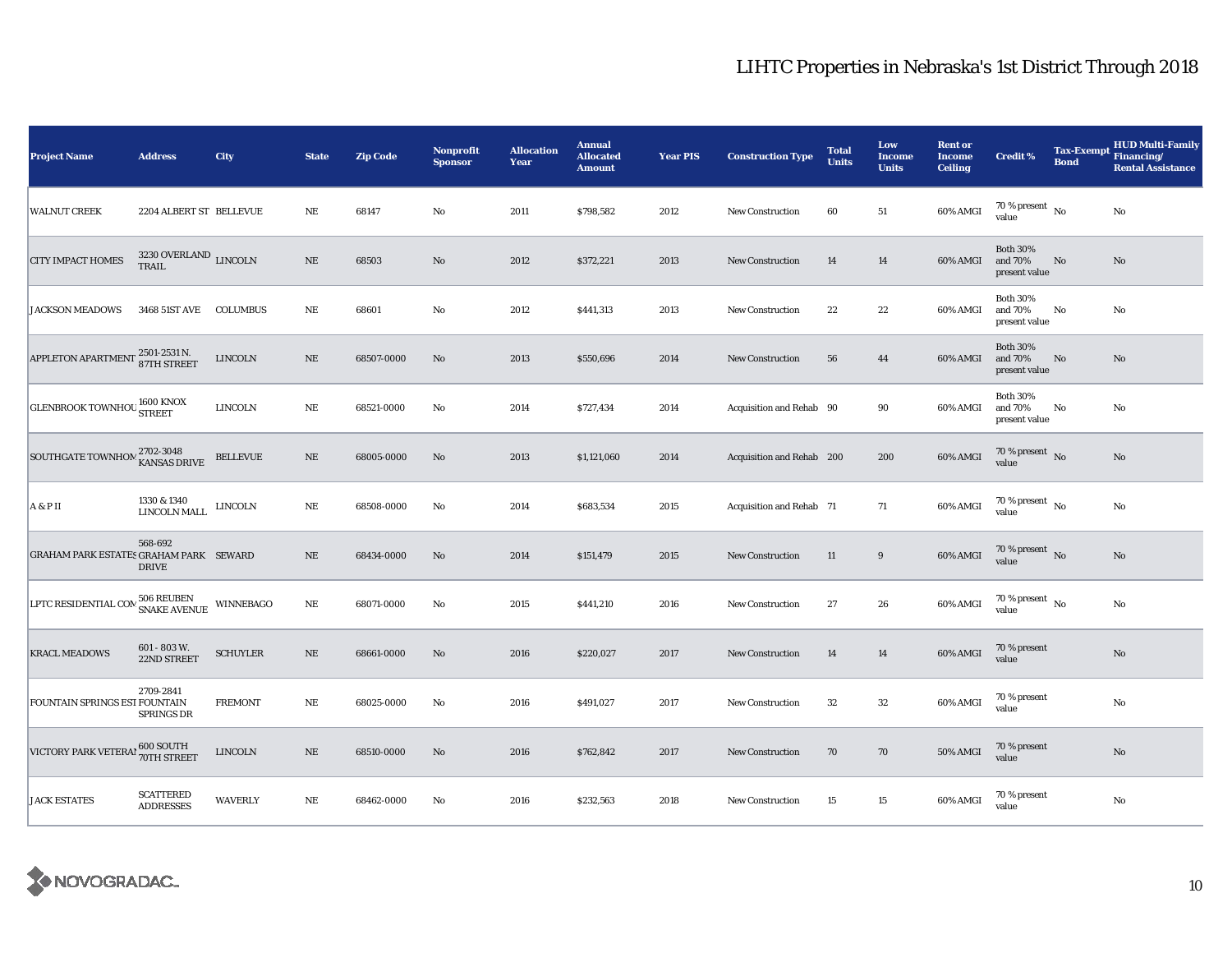| Project Name                                  | <b>Address</b>                            | <b>City</b>      | <b>State</b> | <b>Zip Code</b> | Nonprofit<br><b>Sponsor</b> | <b>Allocation</b><br>Year | <b>Annual</b><br><b>Allocated</b><br><b>Amount</b> | <b>Year PIS</b> | <b>Construction Type</b>  | <b>Total</b><br><b>Units</b> | Low<br><b>Income</b><br><b>Units</b> | <b>Rent or</b><br><b>Income</b><br><b>Ceiling</b> | <b>Credit %</b>                             | Tax-Exempt Financing/<br><b>Bond</b> | <b>HUD Multi-Family</b><br><b>Rental Assistance</b> |
|-----------------------------------------------|-------------------------------------------|------------------|--------------|-----------------|-----------------------------|---------------------------|----------------------------------------------------|-----------------|---------------------------|------------------------------|--------------------------------------|---------------------------------------------------|---------------------------------------------|--------------------------------------|-----------------------------------------------------|
| <b>WALNUT CREEK</b>                           | 2204 ALBERT ST BELLEVUE                   |                  | NE           | 68147           | No                          | 2011                      | \$798,582                                          | 2012            | <b>New Construction</b>   | 60                           | 51                                   | 60% AMGI                                          | 70 % present $\hbox{~No}$<br>value          |                                      | No                                                  |
| <b>CITY IMPACT HOMES</b>                      | $3230$ OVERLAND $_{\rm LINCOLN}$<br>TRAIL |                  | NE           | 68503           | $\mathbf{N}\mathbf{o}$      | 2012                      | \$372,221                                          | 2013            | New Construction          | 14                           | 14                                   | 60% AMGI                                          | <b>Both 30%</b><br>and 70%<br>present value | No                                   | $\mathbf{N}\mathbf{o}$                              |
| <b>JACKSON MEADOWS</b>                        | 3468 51ST AVE                             | <b>COLUMBUS</b>  | NE           | 68601           | $\mathbf{No}$               | 2012                      | \$441,313                                          | 2013            | New Construction          | 22                           | 22                                   | 60% AMGI                                          | <b>Both 30%</b><br>and 70%<br>present value | No                                   | No                                                  |
| APPLETON APARTMENT 2501-2531 N.               |                                           | <b>LINCOLN</b>   | $\rm NE$     | 68507-0000      | $\mathbf{N}\mathbf{o}$      | 2013                      | \$550,696                                          | 2014            | New Construction          | 56                           | 44                                   | 60% AMGI                                          | <b>Both 30%</b><br>and 70%<br>present value | No                                   | No                                                  |
| <b>GLENBROOK TOWNHOU STREET</b>               |                                           | <b>LINCOLN</b>   | NE           | 68521-0000      | No                          | 2014                      | \$727,434                                          | 2014            | Acquisition and Rehab 90  |                              | 90                                   | 60% AMGI                                          | <b>Both 30%</b><br>and 70%<br>present value | No                                   | No                                                  |
| SOUTHGATE TOWNHOM 2702-3048                   |                                           | <b>BELLEVUE</b>  | $\rm NE$     | 68005-0000      | No                          | 2013                      | \$1,121,060                                        | 2014            | Acquisition and Rehab 200 |                              | 200                                  | 60% AMGI                                          | 70 % present $\hbox{~No}$<br>value          |                                      | No                                                  |
| A & P II                                      | 1330 & 1340<br>LINCOLN MALL               | LINCOLN          | $\rm NE$     | 68508-0000      | No                          | 2014                      | \$683,534                                          | 2015            | Acquisition and Rehab 71  |                              | 71                                   | 60% AMGI                                          | $70$ % present $\,$ No $\,$<br>value        |                                      | No                                                  |
| <b>GRAHAM PARK ESTATES GRAHAM PARK SEWARD</b> | 568-692<br><b>DRIVE</b>                   |                  | $_{\rm NE}$  | 68434-0000      | No                          | 2014                      | \$151,479                                          | 2015            | <b>New Construction</b>   | 11                           | $\boldsymbol{9}$                     | 60% AMGI                                          | 70 % present $\,$ No $\,$<br>value          |                                      | No                                                  |
| LPTC RESIDENTIAL COM 506 REUBEN               |                                           | <b>WINNEBAGO</b> | $\rm NE$     | 68071-0000      | No                          | 2015                      | \$441,210                                          | 2016            | <b>New Construction</b>   | 27                           | 26                                   | 60% AMGI                                          | 70 % present $\hbox{~No}$<br>value          |                                      | No                                                  |
| <b>KRACL MEADOWS</b>                          | 601 - 803 W.<br>22ND STREET               | <b>SCHUYLER</b>  | $\rm NE$     | 68661-0000      | $\mathbf{N}\mathbf{o}$      | 2016                      | \$220,027                                          | 2017            | <b>New Construction</b>   | 14                           | 14                                   | 60% AMGI                                          | 70 % present<br>value                       |                                      | $\mathbf{No}$                                       |
| FOUNTAIN SPRINGS EST FOUNTAIN                 | 2709-2841<br>SPRINGS DR                   | <b>FREMONT</b>   | NE           | 68025-0000      | No                          | 2016                      | \$491,027                                          | 2017            | New Construction          | 32                           | 32                                   | 60% AMGI                                          | 70 % present<br>value                       |                                      | No                                                  |
| VICTORY PARK VETERA! 600 SOUTH                |                                           | <b>LINCOLN</b>   | NE           | 68510-0000      | No                          | 2016                      | \$762,842                                          | 2017            | New Construction          | 70                           | 70                                   | 50% AMGI                                          | 70 % present<br>value                       |                                      | No                                                  |
| <b>JACK ESTATES</b>                           | <b>SCATTERED</b><br><b>ADDRESSES</b>      | <b>WAVERLY</b>   | NE           | 68462-0000      | No                          | 2016                      | \$232,563                                          | 2018            | New Construction          | 15                           | 15                                   | 60% AMGI                                          | 70 % present<br>value                       |                                      | No                                                  |